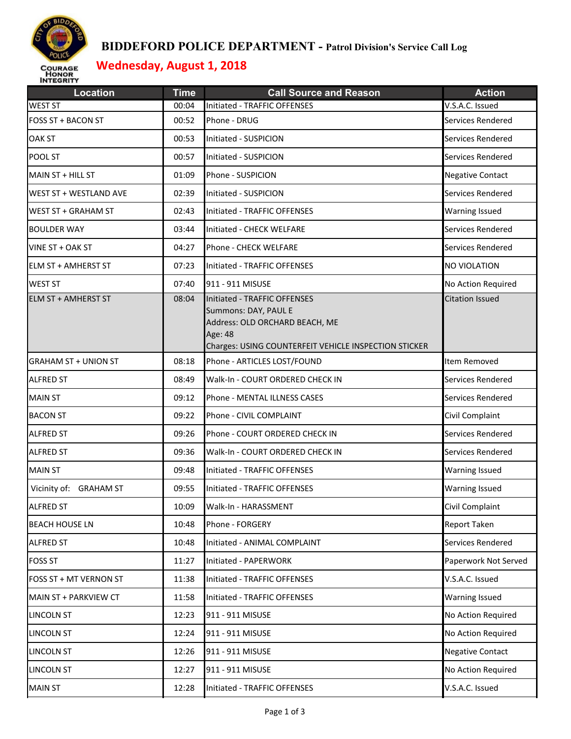

## **BIDDEFORD POLICE DEPARTMENT - Patrol Division's Service Call Log**

# **Wednesday, August 1, 2018**

| <b>Location</b>             | <b>Time</b> | <b>Call Source and Reason</b>                                                                                                                              | <b>Action</b>           |
|-----------------------------|-------------|------------------------------------------------------------------------------------------------------------------------------------------------------------|-------------------------|
| <b>WEST ST</b>              | 00:04       | Initiated - TRAFFIC OFFENSES                                                                                                                               | V.S.A.C. Issued         |
| <b>FOSS ST + BACON ST</b>   | 00:52       | Phone - DRUG                                                                                                                                               | Services Rendered       |
| <b>OAK ST</b>               | 00:53       | Initiated - SUSPICION                                                                                                                                      | Services Rendered       |
| POOL ST                     | 00:57       | Initiated - SUSPICION                                                                                                                                      | Services Rendered       |
| MAIN ST + HILL ST           | 01:09       | Phone - SUSPICION                                                                                                                                          | <b>Negative Contact</b> |
| WEST ST + WESTLAND AVE      | 02:39       | Initiated - SUSPICION                                                                                                                                      | Services Rendered       |
| <b>WEST ST + GRAHAM ST</b>  | 02:43       | Initiated - TRAFFIC OFFENSES                                                                                                                               | <b>Warning Issued</b>   |
| <b>BOULDER WAY</b>          | 03:44       | Initiated - CHECK WELFARE                                                                                                                                  | Services Rendered       |
| VINE ST + OAK ST            | 04:27       | Phone - CHECK WELFARE                                                                                                                                      | Services Rendered       |
| ELM ST + AMHERST ST         | 07:23       | Initiated - TRAFFIC OFFENSES                                                                                                                               | <b>NO VIOLATION</b>     |
| <b>WEST ST</b>              | 07:40       | 911 - 911 MISUSE                                                                                                                                           | No Action Required      |
| <b>ELM ST + AMHERST ST</b>  | 08:04       | Initiated - TRAFFIC OFFENSES<br>Summons: DAY, PAUL E<br>Address: OLD ORCHARD BEACH, ME<br>Age: 48<br>Charges: USING COUNTERFEIT VEHICLE INSPECTION STICKER | <b>Citation Issued</b>  |
| <b>GRAHAM ST + UNION ST</b> | 08:18       | Phone - ARTICLES LOST/FOUND                                                                                                                                | Item Removed            |
| <b>ALFRED ST</b>            | 08:49       | Walk-In - COURT ORDERED CHECK IN                                                                                                                           | Services Rendered       |
| <b>MAIN ST</b>              | 09:12       | Phone - MENTAL ILLNESS CASES                                                                                                                               | Services Rendered       |
| <b>BACON ST</b>             | 09:22       | Phone - CIVIL COMPLAINT                                                                                                                                    | Civil Complaint         |
| <b>ALFRED ST</b>            | 09:26       | Phone - COURT ORDERED CHECK IN                                                                                                                             | Services Rendered       |
| <b>ALFRED ST</b>            | 09:36       | Walk-In - COURT ORDERED CHECK IN                                                                                                                           | Services Rendered       |
| <b>MAIN ST</b>              | 09:48       | Initiated - TRAFFIC OFFENSES                                                                                                                               | <b>Warning Issued</b>   |
| Vicinity of: GRAHAM ST      | 09:55       | Initiated - TRAFFIC OFFENSES                                                                                                                               | <b>Warning Issued</b>   |
| <b>ALFRED ST</b>            | 10:09       | Walk-In - HARASSMENT                                                                                                                                       | Civil Complaint         |
| <b>BEACH HOUSE LN</b>       | 10:48       | Phone - FORGERY                                                                                                                                            | <b>Report Taken</b>     |
| <b>ALFRED ST</b>            | 10:48       | Initiated - ANIMAL COMPLAINT                                                                                                                               | Services Rendered       |
| <b>FOSS ST</b>              | 11:27       | Initiated - PAPERWORK                                                                                                                                      | Paperwork Not Served    |
| FOSS ST + MT VERNON ST      | 11:38       | Initiated - TRAFFIC OFFENSES                                                                                                                               | V.S.A.C. Issued         |
| MAIN ST + PARKVIEW CT       | 11:58       | Initiated - TRAFFIC OFFENSES                                                                                                                               | <b>Warning Issued</b>   |
| LINCOLN ST                  | 12:23       | 911 - 911 MISUSE                                                                                                                                           | No Action Required      |
| LINCOLN ST                  | 12:24       | 911 - 911 MISUSE                                                                                                                                           | No Action Required      |
| <b>LINCOLN ST</b>           | 12:26       | 911 - 911 MISUSE                                                                                                                                           | <b>Negative Contact</b> |
| LINCOLN ST                  | 12:27       | 911 - 911 MISUSE                                                                                                                                           | No Action Required      |
| <b>MAIN ST</b>              | 12:28       | Initiated - TRAFFIC OFFENSES                                                                                                                               | V.S.A.C. Issued         |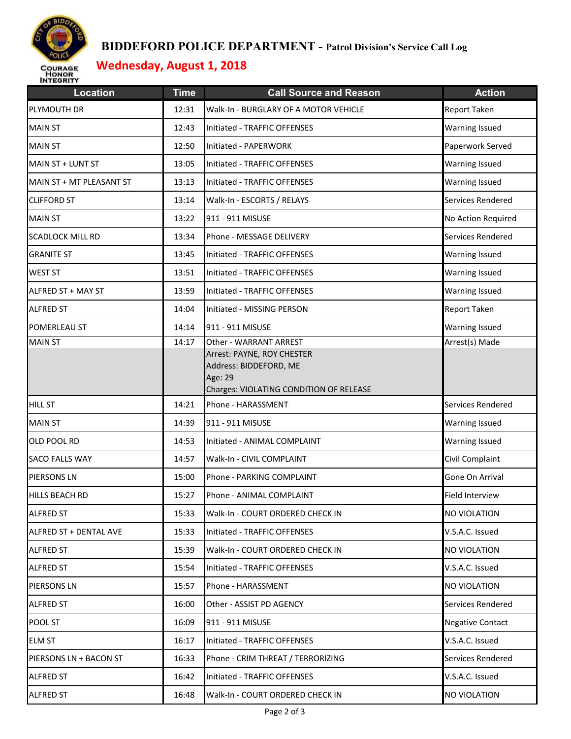

## **BIDDEFORD POLICE DEPARTMENT - Patrol Division's Service Call Log**

# **Wednesday, August 1, 2018**

| <b>Location</b>          | <b>Time</b> | <b>Call Source and Reason</b>                                                                                                        | <b>Action</b>           |
|--------------------------|-------------|--------------------------------------------------------------------------------------------------------------------------------------|-------------------------|
| PLYMOUTH DR              | 12:31       | Walk-In - BURGLARY OF A MOTOR VEHICLE                                                                                                | <b>Report Taken</b>     |
| <b>MAIN ST</b>           | 12:43       | Initiated - TRAFFIC OFFENSES                                                                                                         | <b>Warning Issued</b>   |
| <b>MAIN ST</b>           | 12:50       | Initiated - PAPERWORK                                                                                                                | Paperwork Served        |
| MAIN ST + LUNT ST        | 13:05       | Initiated - TRAFFIC OFFENSES                                                                                                         | <b>Warning Issued</b>   |
| MAIN ST + MT PLEASANT ST | 13:13       | Initiated - TRAFFIC OFFENSES                                                                                                         | <b>Warning Issued</b>   |
| <b>CLIFFORD ST</b>       | 13:14       | Walk-In - ESCORTS / RELAYS                                                                                                           | Services Rendered       |
| <b>MAIN ST</b>           | 13:22       | 911 - 911 MISUSE                                                                                                                     | No Action Required      |
| <b>SCADLOCK MILL RD</b>  | 13:34       | Phone - MESSAGE DELIVERY                                                                                                             | Services Rendered       |
| <b>GRANITE ST</b>        | 13:45       | Initiated - TRAFFIC OFFENSES                                                                                                         | <b>Warning Issued</b>   |
| <b>WEST ST</b>           | 13:51       | Initiated - TRAFFIC OFFENSES                                                                                                         | <b>Warning Issued</b>   |
| ALFRED ST + MAY ST       | 13:59       | Initiated - TRAFFIC OFFENSES                                                                                                         | <b>Warning Issued</b>   |
| <b>ALFRED ST</b>         | 14:04       | Initiated - MISSING PERSON                                                                                                           | Report Taken            |
| POMERLEAU ST             | 14:14       | 911 - 911 MISUSE                                                                                                                     | <b>Warning Issued</b>   |
| <b>MAIN ST</b>           | 14:17       | Other - WARRANT ARREST<br>Arrest: PAYNE, ROY CHESTER<br>Address: BIDDEFORD, ME<br>Age: 29<br>Charges: VIOLATING CONDITION OF RELEASE | Arrest(s) Made          |
| <b>HILL ST</b>           | 14:21       | Phone - HARASSMENT                                                                                                                   | Services Rendered       |
| <b>MAIN ST</b>           | 14:39       | 911 - 911 MISUSE                                                                                                                     | <b>Warning Issued</b>   |
| OLD POOL RD              | 14:53       | Initiated - ANIMAL COMPLAINT                                                                                                         | <b>Warning Issued</b>   |
| <b>SACO FALLS WAY</b>    | 14:57       | Walk-In - CIVIL COMPLAINT                                                                                                            | Civil Complaint         |
| PIERSONS LN              | 15:00       | Phone - PARKING COMPLAINT                                                                                                            | Gone On Arrival         |
| HILLS BEACH RD           | 15:27       | Phone - ANIMAL COMPLAINT                                                                                                             | Field Interview         |
| <b>ALFRED ST</b>         | 15:33       | Walk-In - COURT ORDERED CHECK IN                                                                                                     | <b>NO VIOLATION</b>     |
| ALFRED ST + DENTAL AVE   | 15:33       | Initiated - TRAFFIC OFFENSES                                                                                                         | V.S.A.C. Issued         |
| <b>ALFRED ST</b>         | 15:39       | Walk-In - COURT ORDERED CHECK IN                                                                                                     | <b>NO VIOLATION</b>     |
| <b>ALFRED ST</b>         | 15:54       | Initiated - TRAFFIC OFFENSES                                                                                                         | V.S.A.C. Issued         |
| PIERSONS LN              | 15:57       | Phone - HARASSMENT                                                                                                                   | <b>NO VIOLATION</b>     |
| <b>ALFRED ST</b>         | 16:00       | Other - ASSIST PD AGENCY                                                                                                             | Services Rendered       |
| POOL ST                  | 16:09       | 911 - 911 MISUSE                                                                                                                     | <b>Negative Contact</b> |
| <b>ELM ST</b>            | 16:17       | Initiated - TRAFFIC OFFENSES                                                                                                         | V.S.A.C. Issued         |
| PIERSONS LN + BACON ST   | 16:33       | Phone - CRIM THREAT / TERRORIZING                                                                                                    | Services Rendered       |
| <b>ALFRED ST</b>         | 16:42       | Initiated - TRAFFIC OFFENSES                                                                                                         | V.S.A.C. Issued         |
| <b>ALFRED ST</b>         | 16:48       | Walk-In - COURT ORDERED CHECK IN                                                                                                     | <b>NO VIOLATION</b>     |